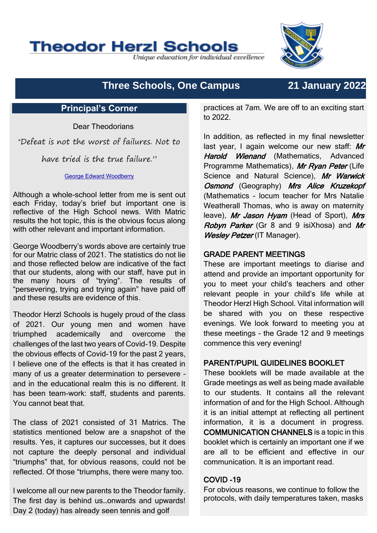

Unique education for individual excellence

# **Three Schools, One Campus 21 January 2022**

## **Principal's Corner**

Dear Theodorians

"Defeat is not the worst of failures. Not to

have tried is the true failure."

#### [George Edward Woodberry](https://www.brainyquote.com/authors/george-edward-woodberry-quotes)

Although a whole-school letter from me is sent out each Friday, today's brief but important one is reflective of the High School news. With Matric results the hot topic, this is the obvious focus along with other relevant and important information.

George Woodberry's words above are certainly true for our Matric class of 2021. The statistics do not lie and those reflected below are indicative of the fact that our students, along with our staff, have put in the many hours of "trying". The results of "persevering, trying and trying again" have paid off and these results are evidence of this.

Theodor Herzl Schools is hugely proud of the class of 2021. Our young men and women have triumphed academically and overcome the challenges of the last two years of Covid-19. Despite the obvious effects of Covid-19 for the past 2 years, I believe one of the effects is that it has created in many of us a greater determination to persevere – and in the educational realm this is no different. It has been team-work: staff, students and parents. You cannot beat that.

The class of 2021 consisted of 31 Matrics. The statistics mentioned below are a snapshot of the results. Yes, it captures our successes, but it does not capture the deeply personal and individual "triumphs" that, for obvious reasons, could not be reflected. Of those "triumphs, there were many too.

I welcome all our new parents to the Theodor family. The first day is behind us…onwards and upwards! Day 2 (today) has already seen tennis and golf

practices at 7am. We are off to an exciting start to 2022.

In addition, as reflected in my final newsletter last year, I again welcome our new staff: Mr Harold Wienand (Mathematics, Advanced Programme Mathematics), Mr Ryan Peter (Life Science and Natural Science), Mr Warwick Osmond (Geography) Mrs Alice Kruzekopf (Mathematics - locum teacher for Mrs Natalie Weatherall Thomas, who is away on maternity leave), Mr Jason Hyam (Head of Sport), Mrs Robyn Parker (Gr 8 and 9 isiXhosa) and Mr Wesley Petzer (IT Manager).

# GRADE PARENT MEETINGS

These are important meetings to diarise and attend and provide an important opportunity for you to meet your child's teachers and other relevant people in your child's life while at Theodor Herzl High School. Vital information will be shared with you on these respective evenings. We look forward to meeting you at these meetings - the Grade 12 and 9 meetings commence this very evening!

### PARENT/PUPIL GUIDELINES BOOKLET

These booklets will be made available at the Grade meetings as well as being made available to our students. It contains all the relevant information of and for the High School. Although it is an initial attempt at reflecting all pertinent information, it is a document in progress. COMMUNICATION CHANNELS is a topic in this booklet which is certainly an important one if we are all to be efficient and effective in our communication. It is an important read.

### COVID -19

For obvious reasons, we continue to follow the protocols, with daily temperatures taken, masks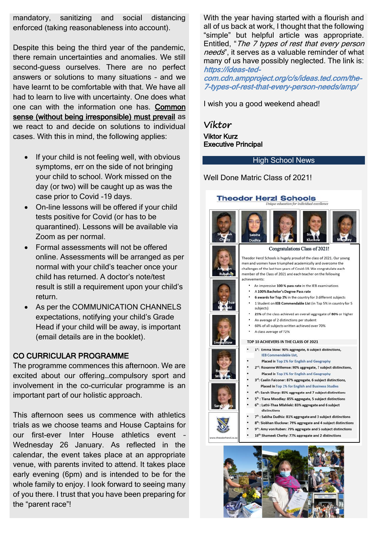mandatory, sanitizing and social distancing enforced (taking reasonableness into account).

Despite this being the third year of the pandemic, there remain uncertainties and anomalies. We still second-guess ourselves. There are no perfect answers or solutions to many situations – and we have learnt to be comfortable with that. We have all had to learn to live with uncertainty. One does what one can with the information one has. Common sense (without being irresponsible) must prevail as we react to and decide on solutions to individual cases. With this in mind, the following applies:

- If your child is not feeling well, with obvious symptoms, err on the side of not bringing your child to school. Work missed on the day (or two) will be caught up as was the case prior to Covid -19 days.
- On-line lessons will be offered if your child tests positive for Covid (or has to be quarantined). Lessons will be available via Zoom as per normal.
- Formal assessments will not be offered online. Assessments will be arranged as per normal with your child's teacher once your child has returned. A doctor's note/test result is still a requirement upon your child's return.
- As per the COMMUNICATION CHANNELS expectations, notifying your child's Grade Head if your child will be away, is important (email details are in the booklet).

### CO CURRICULAR PROGRAMME

The programme commences this afternoon. We are excited about our offering…compulsory sport and involvement in the co-curricular programme is an important part of our holistic approach.

This afternoon sees us commence with athletics trials as we choose teams and House Captains for our first-ever Inter House athletics event – Wednesday 26 January. As reflected in the calendar, the event takes place at an appropriate venue, with parents invited to attend. It takes place early evening (6pm) and is intended to be for the whole family to enjoy. I look forward to seeing many of you there. I trust that you have been preparing for the "parent race"!

With the year having started with a flourish and all of us back at work, I thought that the following "simple" but helpful article was appropriate. Entitled, "The 7 types of rest that every person needs", it serves as a valuable reminder of what many of us have possibly neglected. The link is: https://ideas-ted-

com.cdn.ampproject.org/c/s/ideas.ted.com/the-7-types-of-rest-that-every-person-needs/amp/

I wish you a good weekend ahead!

**Viktor** Viktor Kurz Executive Principal

#### High School News

Well Done Matric Class of 2021!